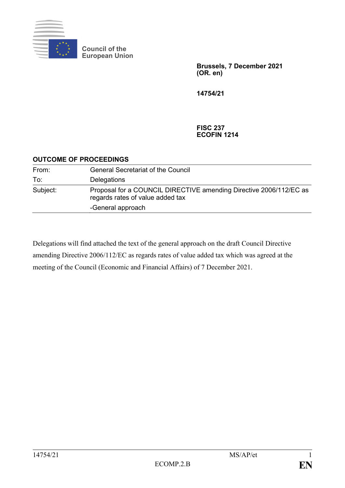

**Council of the European Union**

> **Brussels, 7 December 2021 (OR. en)**

**14754/21**

**FISC 237 ECOFIN 1214**

## **OUTCOME OF PROCEEDINGS**

| From:    | <b>General Secretariat of the Council</b>                                                              |
|----------|--------------------------------------------------------------------------------------------------------|
| To:      | Delegations                                                                                            |
| Subject: | Proposal for a COUNCIL DIRECTIVE amending Directive 2006/112/EC as<br>regards rates of value added tax |
|          | -General approach                                                                                      |

Delegations will find attached the text of the general approach on the draft Council Directive amending Directive 2006/112/EC as regards rates of value added tax which was agreed at the meeting of the Council (Economic and Financial Affairs) of 7 December 2021.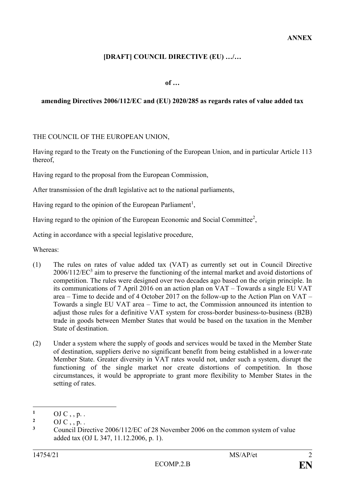# **[DRAFT] COUNCIL DIRECTIVE (EU) …/…**

**of …**

### **amending Directives 2006/112/EC and (EU) 2020/285 as regards rates of value added tax**

THE COUNCIL OF THE EUROPEAN UNION,

Having regard to the Treaty on the Functioning of the European Union, and in particular Article 113 thereof,

Having regard to the proposal from the European Commission,

After transmission of the draft legislative act to the national parliaments,

Having regard to the opinion of the European Parliament<sup>1</sup>,

Having regard to the opinion of the European Economic and Social Committee<sup>2</sup>,

Acting in accordance with a special legislative procedure,

Whereas:

- (1) The rules on rates of value added tax (VAT) as currently set out in Council Directive  $2006/112/EC^3$  aim to preserve the functioning of the internal market and avoid distortions of competition. The rules were designed over two decades ago based on the origin principle. In its communications of 7 April 2016 on an action plan on VAT – Towards a single EU VAT area – Time to decide and of 4 October 2017 on the follow-up to the Action Plan on VAT – Towards a single EU VAT area – Time to act, the Commission announced its intention to adjust those rules for a definitive VAT system for cross-border business-to-business (B2B) trade in goods between Member States that would be based on the taxation in the Member State of destination.
- (2) Under a system where the supply of goods and services would be taxed in the Member State of destination, suppliers derive no significant benefit from being established in a lower-rate Member State. Greater diversity in VAT rates would not, under such a system, disrupt the functioning of the single market nor create distortions of competition. In those circumstances, it would be appropriate to grant more flexibility to Member States in the setting of rates.

<sup>1</sup>  $\frac{1}{2}$  OJ C , , p. .

<sup>&</sup>lt;sup>2</sup> OJ C , , p. .<br><sup>3</sup> Council Direction

**<sup>3</sup>** Council Directive 2006/112/EC of 28 November 2006 on the common system of value added tax (OJ L 347, 11.12.2006, p. 1).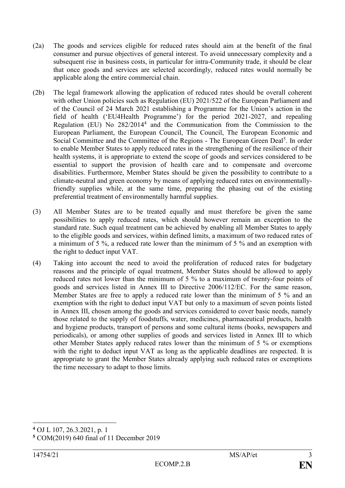- (2a) The goods and services eligible for reduced rates should aim at the benefit of the final consumer and pursue objectives of general interest. To avoid unnecessary complexity and a subsequent rise in business costs, in particular for intra-Community trade, it should be clear that once goods and services are selected accordingly, reduced rates would normally be applicable along the entire commercial chain.
- (2b) The legal framework allowing the application of reduced rates should be overall coherent with other Union policies such as Regulation (EU) 2021/522 of the European Parliament and of the Council of 24 March 2021 establishing a Programme for the Union's action in the field of health ('EU4Health Programme') for the period 2021-2027, and repealing Regulation (EU) No 282/2014<sup>4</sup> and the Communication from the Commission to the European Parliament, the European Council, The Council, The European Economic and Social Committee and the Committee of the Regions - The European Green Deal<sup>5</sup>. In order to enable Member States to apply reduced rates in the strengthening of the resilience of their health systems, it is appropriate to extend the scope of goods and services considered to be essential to support the provision of health care and to compensate and overcome disabilities. Furthermore, Member States should be given the possibility to contribute to a climate-neutral and green economy by means of applying reduced rates on environmentallyfriendly supplies while, at the same time, preparing the phasing out of the existing preferential treatment of environmentally harmful supplies.
- (3) All Member States are to be treated equally and must therefore be given the same possibilities to apply reduced rates, which should however remain an exception to the standard rate. Such equal treatment can be achieved by enabling all Member States to apply to the eligible goods and services, within defined limits, a maximum of two reduced rates of a minimum of 5 %, a reduced rate lower than the minimum of 5 % and an exemption with the right to deduct input VAT.
- (4) Taking into account the need to avoid the proliferation of reduced rates for budgetary reasons and the principle of equal treatment, Member States should be allowed to apply reduced rates not lower than the minimum of 5 % to a maximum of twenty-four points of goods and services listed in Annex III to Directive 2006/112/EC. For the same reason, Member States are free to apply a reduced rate lower than the minimum of 5 % and an exemption with the right to deduct input VAT but only to a maximum of seven points listed in Annex III, chosen among the goods and services considered to cover basic needs, namely those related to the supply of foodstuffs, water, medicines, pharmaceutical products, health and hygiene products, transport of persons and some cultural items (books, newspapers and periodicals), or among other supplies of goods and services listed in Annex III to which other Member States apply reduced rates lower than the minimum of 5 % or exemptions with the right to deduct input VAT as long as the applicable deadlines are respected. It is appropriate to grant the Member States already applying such reduced rates or exemptions the time necessary to adapt to those limits.

1

**<sup>4</sup>** OJ L 107, 26.3.2021, p. 1

**<sup>5</sup>** COM(2019) 640 final of 11 December 2019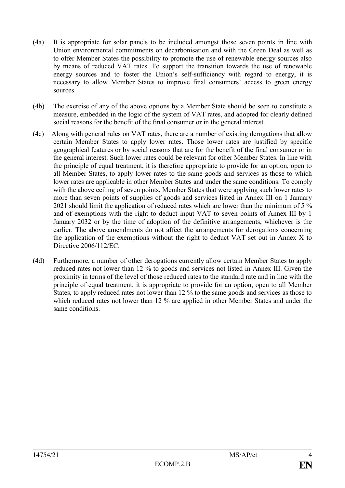- (4a) It is appropriate for solar panels to be included amongst those seven points in line with Union environmental commitments on decarbonisation and with the Green Deal as well as to offer Member States the possibility to promote the use of renewable energy sources also by means of reduced VAT rates. To support the transition towards the use of renewable energy sources and to foster the Union's self-sufficiency with regard to energy, it is necessary to allow Member States to improve final consumers' access to green energy sources.
- (4b) The exercise of any of the above options by a Member State should be seen to constitute a measure, embedded in the logic of the system of VAT rates, and adopted for clearly defined social reasons for the benefit of the final consumer or in the general interest.
- (4c) Along with general rules on VAT rates, there are a number of existing derogations that allow certain Member States to apply lower rates. Those lower rates are justified by specific geographical features or by social reasons that are for the benefit of the final consumer or in the general interest. Such lower rates could be relevant for other Member States. In line with the principle of equal treatment, it is therefore appropriate to provide for an option, open to all Member States, to apply lower rates to the same goods and services as those to which lower rates are applicable in other Member States and under the same conditions. To comply with the above ceiling of seven points, Member States that were applying such lower rates to more than seven points of supplies of goods and services listed in Annex III on 1 January 2021 should limit the application of reduced rates which are lower than the minimum of 5 % and of exemptions with the right to deduct input VAT to seven points of Annex III by 1 January 2032 or by the time of adoption of the definitive arrangements, whichever is the earlier. The above amendments do not affect the arrangements for derogations concerning the application of the exemptions without the right to deduct VAT set out in Annex X to Directive 2006/112/EC.
- (4d) Furthermore, a number of other derogations currently allow certain Member States to apply reduced rates not lower than 12 % to goods and services not listed in Annex III. Given the proximity in terms of the level of those reduced rates to the standard rate and in line with the principle of equal treatment, it is appropriate to provide for an option, open to all Member States, to apply reduced rates not lower than 12 % to the same goods and services as those to which reduced rates not lower than 12 % are applied in other Member States and under the same conditions.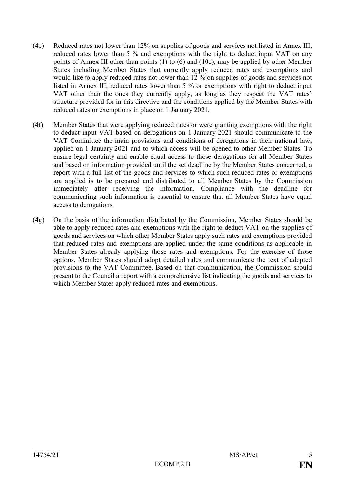- (4e) Reduced rates not lower than 12% on supplies of goods and services not listed in Annex III, reduced rates lower than 5 % and exemptions with the right to deduct input VAT on any points of Annex III other than points (1) to (6) and (10c), may be applied by other Member States including Member States that currently apply reduced rates and exemptions and would like to apply reduced rates not lower than 12 % on supplies of goods and services not listed in Annex III, reduced rates lower than 5 % or exemptions with right to deduct input VAT other than the ones they currently apply, as long as they respect the VAT rates' structure provided for in this directive and the conditions applied by the Member States with reduced rates or exemptions in place on 1 January 2021.
- (4f) Member States that were applying reduced rates or were granting exemptions with the right to deduct input VAT based on derogations on 1 January 2021 should communicate to the VAT Committee the main provisions and conditions of derogations in their national law, applied on 1 January 2021 and to which access will be opened to other Member States. To ensure legal certainty and enable equal access to those derogations for all Member States and based on information provided until the set deadline by the Member States concerned, a report with a full list of the goods and services to which such reduced rates or exemptions are applied is to be prepared and distributed to all Member States by the Commission immediately after receiving the information. Compliance with the deadline for communicating such information is essential to ensure that all Member States have equal access to derogations.
- (4g) On the basis of the information distributed by the Commission, Member States should be able to apply reduced rates and exemptions with the right to deduct VAT on the supplies of goods and services on which other Member States apply such rates and exemptions provided that reduced rates and exemptions are applied under the same conditions as applicable in Member States already applying those rates and exemptions. For the exercise of those options, Member States should adopt detailed rules and communicate the text of adopted provisions to the VAT Committee. Based on that communication, the Commission should present to the Council a report with a comprehensive list indicating the goods and services to which Member States apply reduced rates and exemptions.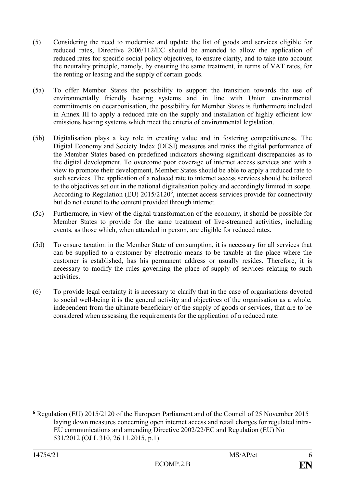- (5) Considering the need to modernise and update the list of goods and services eligible for reduced rates, Directive 2006/112/EC should be amended to allow the application of reduced rates for specific social policy objectives, to ensure clarity, and to take into account the neutrality principle, namely, by ensuring the same treatment, in terms of VAT rates, for the renting or leasing and the supply of certain goods.
- (5a) To offer Member States the possibility to support the transition towards the use of environmentally friendly heating systems and in line with Union environmental commitments on decarbonisation, the possibility for Member States is furthermore included in Annex III to apply a reduced rate on the supply and installation of highly efficient low emissions heating systems which meet the criteria of environmental legislation.
- (5b) Digitalisation plays a key role in creating value and in fostering competitiveness. The Digital Economy and Society Index (DESI) measures and ranks the digital performance of the Member States based on predefined indicators showing significant discrepancies as to the digital development. To overcome poor coverage of internet access services and with a view to promote their development, Member States should be able to apply a reduced rate to such services. The application of a reduced rate to internet access services should be tailored to the objectives set out in the national digitalisation policy and accordingly limited in scope. According to Regulation (EU) 2015/2120<sup>6</sup>, internet access services provide for connectivity but do not extend to the content provided through internet.
- (5c) Furthermore, in view of the digital transformation of the economy, it should be possible for Member States to provide for the same treatment of live-streamed activities, including events, as those which, when attended in person, are eligible for reduced rates.
- (5d) To ensure taxation in the Member State of consumption, it is necessary for all services that can be supplied to a customer by electronic means to be taxable at the place where the customer is established, has his permanent address or usually resides. Therefore, it is necessary to modify the rules governing the place of supply of services relating to such activities.
- (6) To provide legal certainty it is necessary to clarify that in the case of organisations devoted to social well-being it is the general activity and objectives of the organisation as a whole, independent from the ultimate beneficiary of the supply of goods or services, that are to be considered when assessing the requirements for the application of a reduced rate.

<sup>1</sup> **<sup>6</sup>** Regulation (EU) 2015/2120 of the European Parliament and of the Council of 25 November 2015 laying down measures concerning open internet access and retail charges for regulated intra-EU communications and amending Directive 2002/22/EC and Regulation (EU) No 531/2012 (OJ L 310, 26.11.2015, p.1).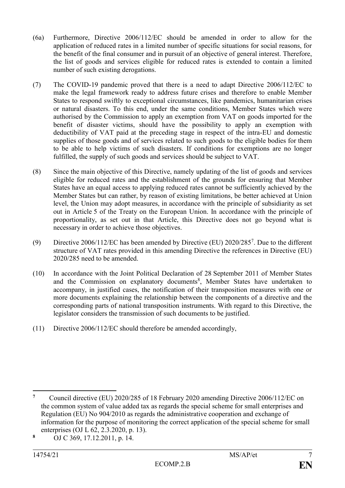- (6a) Furthermore, Directive 2006/112/EC should be amended in order to allow for the application of reduced rates in a limited number of specific situations for social reasons, for the benefit of the final consumer and in pursuit of an objective of general interest. Therefore, the list of goods and services eligible for reduced rates is extended to contain a limited number of such existing derogations.
- (7) The COVID-19 pandemic proved that there is a need to adapt Directive 2006/112/EC to make the legal framework ready to address future crises and therefore to enable Member States to respond swiftly to exceptional circumstances, like pandemics, humanitarian crises or natural disasters. To this end, under the same conditions, Member States which were authorised by the Commission to apply an exemption from VAT on goods imported for the benefit of disaster victims, should have the possibility to apply an exemption with deductibility of VAT paid at the preceding stage in respect of the intra-EU and domestic supplies of those goods and of services related to such goods to the eligible bodies for them to be able to help victims of such disasters. If conditions for exemptions are no longer fulfilled, the supply of such goods and services should be subject to VAT.
- (8) Since the main objective of this Directive, namely updating of the list of goods and services eligible for reduced rates and the establishment of the grounds for ensuring that Member States have an equal access to applying reduced rates cannot be sufficiently achieved by the Member States but can rather, by reason of existing limitations, be better achieved at Union level, the Union may adopt measures, in accordance with the principle of subsidiarity as set out in Article 5 of the Treaty on the European Union. In accordance with the principle of proportionality, as set out in that Article, this Directive does not go beyond what is necessary in order to achieve those objectives.
- (9) Directive 2006/112/EC has been amended by Directive (EU) 2020/285<sup>7</sup> . Due to the different structure of VAT rates provided in this amending Directive the references in Directive (EU) 2020/285 need to be amended.
- (10) In accordance with the Joint Political Declaration of 28 September 2011 of Member States and the Commission on explanatory documents<sup>8</sup>, Member States have undertaken to accompany, in justified cases, the notification of their transposition measures with one or more documents explaining the relationship between the components of a directive and the corresponding parts of national transposition instruments. With regard to this Directive, the legislator considers the transmission of such documents to be justified.
- (11) Directive 2006/112/EC should therefore be amended accordingly,

 $\overline{7}$ **<sup>7</sup>** Council directive (EU) 2020/285 of 18 February 2020 amending Directive 2006/112/EC on the common system of value added tax as regards the special scheme for small enterprises and Regulation (EU) No 904/2010 as regards the administrative cooperation and exchange of information for the purpose of monitoring the correct application of the special scheme for small enterprises (OJ L 62, 2.3.2020, p. 13).

**<sup>8</sup>** OJ C 369, 17.12.2011, p. 14.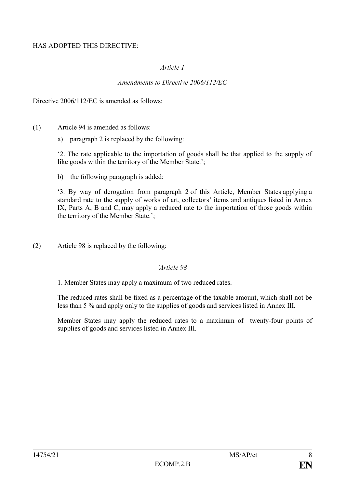### HAS ADOPTED THIS DIRECTIVE:

### *Article 1*

### *Amendments to Directive 2006/112/EC*

Directive 2006/112/EC is amended as follows:

- (1) Article 94 is amended as follows:
	- a) paragraph 2 is replaced by the following:

'2. The rate applicable to the importation of goods shall be that applied to the supply of like goods within the territory of the Member State.';

b) the following paragraph is added:

'3. By way of derogation from paragraph 2 of this Article, Member States applying a standard rate to the supply of works of art, collectors' items and antiques listed in Annex IX, Parts A, B and C, may apply a reduced rate to the importation of those goods within the territory of the Member State.';

(2) Article 98 is replaced by the following:

#### *'Article 98*

1. Member States may apply a maximum of two reduced rates.

The reduced rates shall be fixed as a percentage of the taxable amount, which shall not be less than 5 % and apply only to the supplies of goods and services listed in Annex III.

Member States may apply the reduced rates to a maximum of twenty-four points of supplies of goods and services listed in Annex III.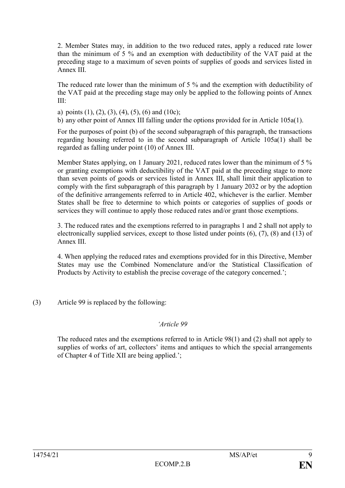2. Member States may, in addition to the two reduced rates, apply a reduced rate lower than the minimum of 5 % and an exemption with deductibility of the VAT paid at the preceding stage to a maximum of seven points of supplies of goods and services listed in Annex III.

The reduced rate lower than the minimum of 5 % and the exemption with deductibility of the VAT paid at the preceding stage may only be applied to the following points of Annex III:

a) points  $(1)$ ,  $(2)$ ,  $(3)$ ,  $(4)$ ,  $(5)$ ,  $(6)$  and  $(10c)$ ;

b) any other point of Annex III falling under the options provided for in Article 105a(1).

For the purposes of point (b) of the second subparagraph of this paragraph, the transactions regarding housing referred to in the second subparagraph of Article 105a(1) shall be regarded as falling under point (10) of Annex III.

Member States applying, on 1 January 2021, reduced rates lower than the minimum of 5 % or granting exemptions with deductibility of the VAT paid at the preceding stage to more than seven points of goods or services listed in Annex III, shall limit their application to comply with the first subparagraph of this paragraph by 1 January 2032 or by the adoption of the definitive arrangements referred to in Article 402, whichever is the earlier. Member States shall be free to determine to which points or categories of supplies of goods or services they will continue to apply those reduced rates and/or grant those exemptions.

3. The reduced rates and the exemptions referred to in paragraphs 1 and 2 shall not apply to electronically supplied services, except to those listed under points (6), (7), (8) and (13) of Annex III.

4. When applying the reduced rates and exemptions provided for in this Directive, Member States may use the Combined Nomenclature and/or the Statistical Classification of Products by Activity to establish the precise coverage of the category concerned.';

(3) Article 99 is replaced by the following:

#### *'Article 99*

The reduced rates and the exemptions referred to in Article 98(1) and (2) shall not apply to supplies of works of art, collectors' items and antiques to which the special arrangements of Chapter 4 of Title XII are being applied.';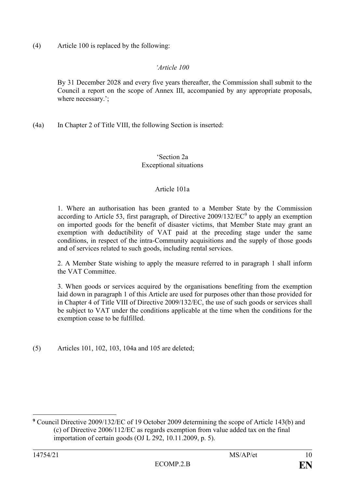(4) Article 100 is replaced by the following:

### *'Article 100*

By 31 December 2028 and every five years thereafter, the Commission shall submit to the Council a report on the scope of Annex III, accompanied by any appropriate proposals, where necessary.';

(4a) In Chapter 2 of Title VIII, the following Section is inserted:

### 'Section 2a Exceptional situations

### Article 101a

1. Where an authorisation has been granted to a Member State by the Commission according to Article 53, first paragraph, of Directive  $2009/132/EC<sup>9</sup>$  to apply an exemption on imported goods for the benefit of disaster victims, that Member State may grant an exemption with deductibility of VAT paid at the preceding stage under the same conditions, in respect of the intra-Community acquisitions and the supply of those goods and of services related to such goods, including rental services.

2. A Member State wishing to apply the measure referred to in paragraph 1 shall inform the VAT Committee.

3. When goods or services acquired by the organisations benefiting from the exemption laid down in paragraph 1 of this Article are used for purposes other than those provided for in Chapter 4 of Title VIII of Directive 2009/132/EC, the use of such goods or services shall be subject to VAT under the conditions applicable at the time when the conditions for the exemption cease to be fulfilled.

(5) Articles 101, 102, 103, 104a and 105 are deleted;

1

**<sup>9</sup>** Council Directive 2009/132/EC of 19 October 2009 determining the scope of Article 143(b) and (c) of Directive 2006/112/EC as regards exemption from value added tax on the final importation of certain goods (OJ L 292, 10.11.2009, p. 5).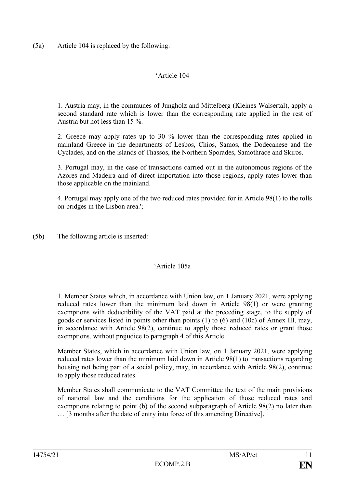(5a) Article 104 is replaced by the following:

### 'Article 104

1. Austria may, in the communes of Jungholz and Mittelberg (Kleines Walsertal), apply a second standard rate which is lower than the corresponding rate applied in the rest of Austria but not less than 15 %.

2. Greece may apply rates up to 30 % lower than the corresponding rates applied in mainland Greece in the departments of Lesbos, Chios, Samos, the Dodecanese and the Cyclades, and on the islands of Thassos, the Northern Sporades, Samothrace and Skiros.

3. Portugal may, in the case of transactions carried out in the autonomous regions of the Azores and Madeira and of direct importation into those regions, apply rates lower than those applicable on the mainland.

4. Portugal may apply one of the two reduced rates provided for in Article 98(1) to the tolls on bridges in the Lisbon area.';

(5b) The following article is inserted:

## 'Article 105a

1. Member States which, in accordance with Union law, on 1 January 2021, were applying reduced rates lower than the minimum laid down in Article 98(1) or were granting exemptions with deductibility of the VAT paid at the preceding stage, to the supply of goods or services listed in points other than points (1) to (6) and (10c) of Annex III, may, in accordance with Article 98(2), continue to apply those reduced rates or grant those exemptions, without prejudice to paragraph 4 of this Article.

Member States, which in accordance with Union law, on 1 January 2021, were applying reduced rates lower than the minimum laid down in Article 98(1) to transactions regarding housing not being part of a social policy, may, in accordance with Article 98(2), continue to apply those reduced rates.

Member States shall communicate to the VAT Committee the text of the main provisions of national law and the conditions for the application of those reduced rates and exemptions relating to point (b) of the second subparagraph of Article 98(2) no later than … [3 months after the date of entry into force of this amending Directive].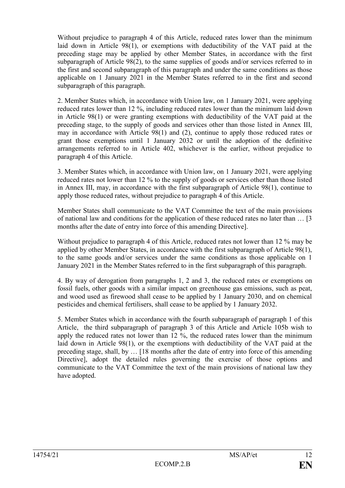Without prejudice to paragraph 4 of this Article, reduced rates lower than the minimum laid down in Article 98(1), or exemptions with deductibility of the VAT paid at the preceding stage may be applied by other Member States, in accordance with the first subparagraph of Article 98(2), to the same supplies of goods and/or services referred to in the first and second subparagraph of this paragraph and under the same conditions as those applicable on 1 January 2021 in the Member States referred to in the first and second subparagraph of this paragraph.

2. Member States which, in accordance with Union law, on 1 January 2021, were applying reduced rates lower than 12 %, including reduced rates lower than the minimum laid down in Article 98(1) or were granting exemptions with deductibility of the VAT paid at the preceding stage, to the supply of goods and services other than those listed in Annex III, may in accordance with Article 98(1) and (2), continue to apply those reduced rates or grant those exemptions until 1 January 2032 or until the adoption of the definitive arrangements referred to in Article 402, whichever is the earlier, without prejudice to paragraph 4 of this Article.

3. Member States which, in accordance with Union law, on 1 January 2021, were applying reduced rates not lower than 12 % to the supply of goods or services other than those listed in Annex III, may, in accordance with the first subparagraph of Article 98(1), continue to apply those reduced rates, without prejudice to paragraph 4 of this Article.

Member States shall communicate to the VAT Committee the text of the main provisions of national law and conditions for the application of these reduced rates no later than … [3 months after the date of entry into force of this amending Directive].

Without prejudice to paragraph 4 of this Article, reduced rates not lower than 12 % may be applied by other Member States, in accordance with the first subparagraph of Article 98(1), to the same goods and/or services under the same conditions as those applicable on 1 January 2021 in the Member States referred to in the first subparagraph of this paragraph.

4. By way of derogation from paragraphs 1, 2 and 3, the reduced rates or exemptions on fossil fuels, other goods with a similar impact on greenhouse gas emissions, such as peat, and wood used as firewood shall cease to be applied by 1 January 2030, and on chemical pesticides and chemical fertilisers, shall cease to be applied by 1 January 2032.

5. Member States which in accordance with the fourth subparagraph of paragraph 1 of this Article, the third subparagraph of paragraph 3 of this Article and Article 105b wish to apply the reduced rates not lower than 12 %, the reduced rates lower than the minimum laid down in Article 98(1), or the exemptions with deductibility of the VAT paid at the preceding stage, shall, by … [18 months after the date of entry into force of this amending Directive], adopt the detailed rules governing the exercise of those options and communicate to the VAT Committee the text of the main provisions of national law they have adopted.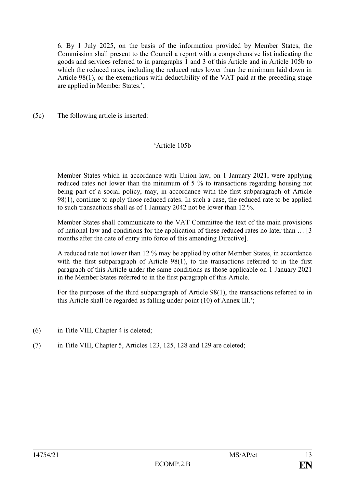6. By 1 July 2025, on the basis of the information provided by Member States, the Commission shall present to the Council a report with a comprehensive list indicating the goods and services referred to in paragraphs 1 and 3 of this Article and in Article 105b to which the reduced rates, including the reduced rates lower than the minimum laid down in Article 98(1), or the exemptions with deductibility of the VAT paid at the preceding stage are applied in Member States.';

(5c) The following article is inserted:

## 'Article 105b

Member States which in accordance with Union law, on 1 January 2021, were applying reduced rates not lower than the minimum of 5 % to transactions regarding housing not being part of a social policy, may, in accordance with the first subparagraph of Article 98(1), continue to apply those reduced rates. In such a case, the reduced rate to be applied to such transactions shall as of 1 January 2042 not be lower than 12 %.

Member States shall communicate to the VAT Committee the text of the main provisions of national law and conditions for the application of these reduced rates no later than … [3 months after the date of entry into force of this amending Directive].

A reduced rate not lower than 12 % may be applied by other Member States, in accordance with the first subparagraph of Article 98(1), to the transactions referred to in the first paragraph of this Article under the same conditions as those applicable on 1 January 2021 in the Member States referred to in the first paragraph of this Article.

For the purposes of the third subparagraph of Article 98(1), the transactions referred to in this Article shall be regarded as falling under point (10) of Annex III.';

- (6) in Title VIII, Chapter 4 is deleted;
- (7) in Title VIII, Chapter 5, Articles 123, 125, 128 and 129 are deleted;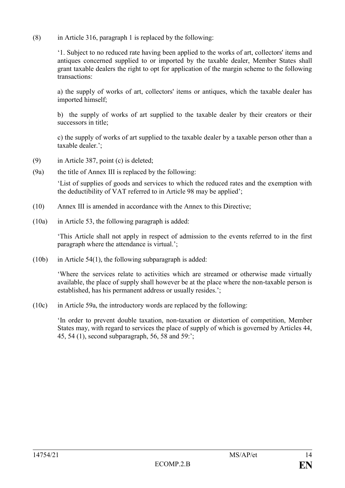(8) in Article 316, paragraph 1 is replaced by the following:

'1. Subject to no reduced rate having been applied to the works of art, collectors' items and antiques concerned supplied to or imported by the taxable dealer, Member States shall grant taxable dealers the right to opt for application of the margin scheme to the following transactions:

a) the supply of works of art, collectors' items or antiques, which the taxable dealer has imported himself;

b) the supply of works of art supplied to the taxable dealer by their creators or their successors in title;

c) the supply of works of art supplied to the taxable dealer by a taxable person other than a taxable dealer.';

- (9) in Article 387, point (c) is deleted;
- (9a) the title of Annex III is replaced by the following:

'List of supplies of goods and services to which the reduced rates and the exemption with the deductibility of VAT referred to in Article 98 may be applied';

- (10) Annex III is amended in accordance with the Annex to this Directive;
- (10a) in Article 53, the following paragraph is added:

'This Article shall not apply in respect of admission to the events referred to in the first paragraph where the attendance is virtual.';

(10b) in Article 54(1), the following subparagraph is added:

'Where the services relate to activities which are streamed or otherwise made virtually available, the place of supply shall however be at the place where the non-taxable person is established, has his permanent address or usually resides.';

(10c) in Article 59a, the introductory words are replaced by the following:

'In order to prevent double taxation, non-taxation or distortion of competition, Member States may, with regard to services the place of supply of which is governed by Articles 44, 45, 54 (1), second subparagraph, 56, 58 and 59:';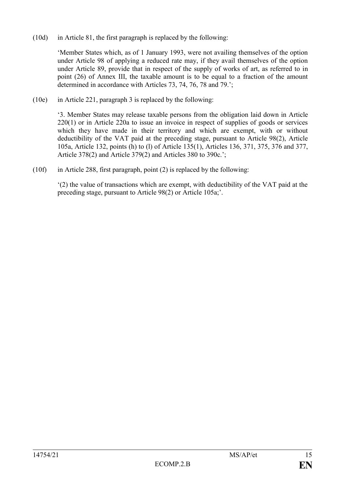(10d) in Article 81, the first paragraph is replaced by the following:

'Member States which, as of 1 January 1993, were not availing themselves of the option under Article 98 of applying a reduced rate may, if they avail themselves of the option under Article 89, provide that in respect of the supply of works of art, as referred to in point (26) of Annex III, the taxable amount is to be equal to a fraction of the amount determined in accordance with Articles 73, 74, 76, 78 and 79.';

(10e) in Article 221, paragraph 3 is replaced by the following:

'3. Member States may release taxable persons from the obligation laid down in Article 220(1) or in Article 220a to issue an invoice in respect of supplies of goods or services which they have made in their territory and which are exempt, with or without deductibility of the VAT paid at the preceding stage, pursuant to Article 98(2), Article 105a, Article 132, points (h) to (l) of Article 135(1), Articles 136, 371, 375, 376 and 377, Article 378(2) and Article 379(2) and Articles 380 to 390c.';

(10f) in Article 288, first paragraph, point (2) is replaced by the following:

'(2) the value of transactions which are exempt, with deductibility of the VAT paid at the preceding stage, pursuant to Article 98(2) or Article 105a;'.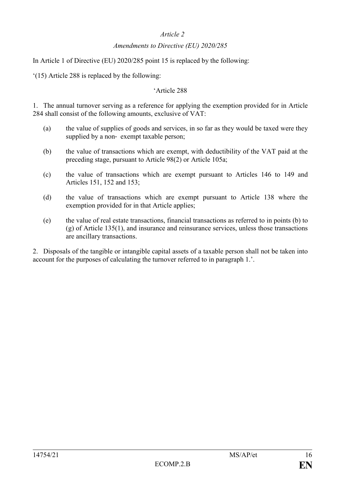## *Article 2*

### *Amendments to Directive (EU) 2020/285*

In Article 1 of Directive (EU) 2020/285 point 15 is replaced by the following:

'(15) Article 288 is replaced by the following:

### 'Article 288

1. The annual turnover serving as a reference for applying the exemption provided for in Article 284 shall consist of the following amounts, exclusive of VAT:

- (a) the value of supplies of goods and services, in so far as they would be taxed were they supplied by a non-exempt taxable person;
- (b) the value of transactions which are exempt, with deductibility of the VAT paid at the preceding stage, pursuant to Article 98(2) or Article 105a;
- (c) the value of transactions which are exempt pursuant to Articles 146 to 149 and Articles 151, 152 and 153;
- (d) the value of transactions which are exempt pursuant to Article 138 where the exemption provided for in that Article applies;
- (e) the value of real estate transactions, financial transactions as referred to in points (b) to (g) of Article 135(1), and insurance and reinsurance services, unless those transactions are ancillary transactions.

2. Disposals of the tangible or intangible capital assets of a taxable person shall not be taken into account for the purposes of calculating the turnover referred to in paragraph 1.'.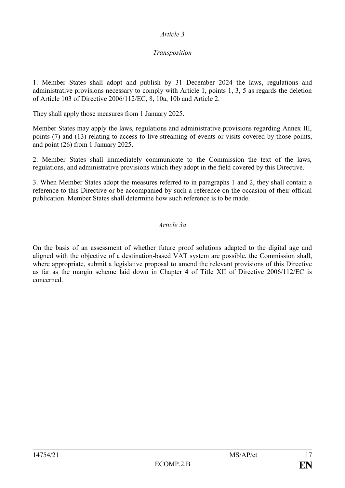### *Article 3*

## *Transposition*

1. Member States shall adopt and publish by 31 December 2024 the laws, regulations and administrative provisions necessary to comply with Article 1, points 1, 3, 5 as regards the deletion of Article 103 of Directive 2006/112/EC, 8, 10a, 10b and Article 2.

They shall apply those measures from 1 January 2025.

Member States may apply the laws, regulations and administrative provisions regarding Annex III, points (7) and (13) relating to access to live streaming of events or visits covered by those points, and point (26) from 1 January 2025.

2. Member States shall immediately communicate to the Commission the text of the laws, regulations, and administrative provisions which they adopt in the field covered by this Directive.

3. When Member States adopt the measures referred to in paragraphs 1 and 2, they shall contain a reference to this Directive or be accompanied by such a reference on the occasion of their official publication. Member States shall determine how such reference is to be made.

## *Article 3a*

On the basis of an assessment of whether future proof solutions adapted to the digital age and aligned with the objective of a destination-based VAT system are possible, the Commission shall, where appropriate, submit a legislative proposal to amend the relevant provisions of this Directive as far as the margin scheme laid down in Chapter 4 of Title XII of Directive 2006/112/EC is concerned*.*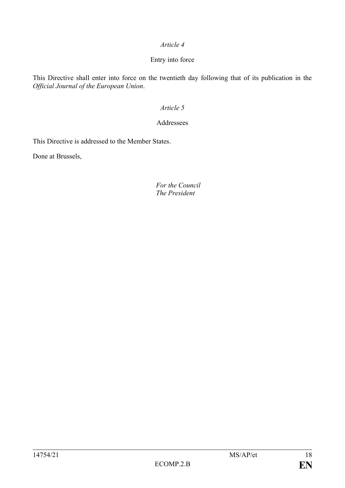## *Article 4*

## Entry into force

This Directive shall enter into force on the twentieth day following that of its publication in the *Official Journal of the European Union*.

# *Article 5*

### Addressees

This Directive is addressed to the Member States.

Done at Brussels,

### *For the Council The President*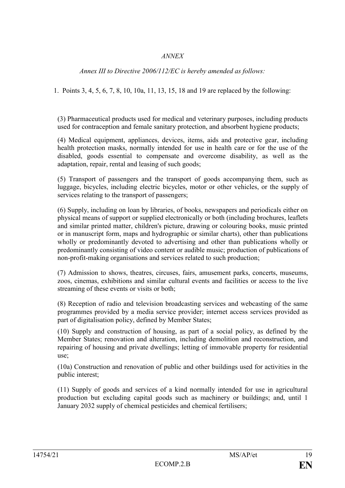## *ANNEX*

*Annex III to Directive 2006/112/EC is hereby amended as follows:*

1. Points 3, 4, 5, 6, 7, 8, 10, 10a, 11, 13, 15, 18 and 19 are replaced by the following:

(3) Pharmaceutical products used for medical and veterinary purposes, including products used for contraception and female sanitary protection, and absorbent hygiene products;

(4) Medical equipment, appliances, devices, items, aids and protective gear, including health protection masks, normally intended for use in health care or for the use of the disabled, goods essential to compensate and overcome disability, as well as the adaptation, repair, rental and leasing of such goods;

(5) Transport of passengers and the transport of goods accompanying them, such as luggage, bicycles, including electric bicycles, motor or other vehicles, or the supply of services relating to the transport of passengers;

(6) Supply, including on loan by libraries, of books, newspapers and periodicals either on physical means of support or supplied electronically or both (including brochures, leaflets and similar printed matter, children's picture, drawing or colouring books, music printed or in manuscript form, maps and hydrographic or similar charts), other than publications wholly or predominantly devoted to advertising and other than publications wholly or predominantly consisting of video content or audible music; production of publications of non-profit-making organisations and services related to such production;

(7) Admission to shows, theatres, circuses, fairs, amusement parks, concerts, museums, zoos, cinemas, exhibitions and similar cultural events and facilities or access to the live streaming of these events or visits or both;

(8) Reception of radio and television broadcasting services and webcasting of the same programmes provided by a media service provider; internet access services provided as part of digitalisation policy, defined by Member States;

(10) Supply and construction of housing, as part of a social policy, as defined by the Member States; renovation and alteration, including demolition and reconstruction, and repairing of housing and private dwellings; letting of immovable property for residential use;

(10a) Construction and renovation of public and other buildings used for activities in the public interest;

(11) Supply of goods and services of a kind normally intended for use in agricultural production but excluding capital goods such as machinery or buildings; and, until 1 January 2032 supply of chemical pesticides and chemical fertilisers;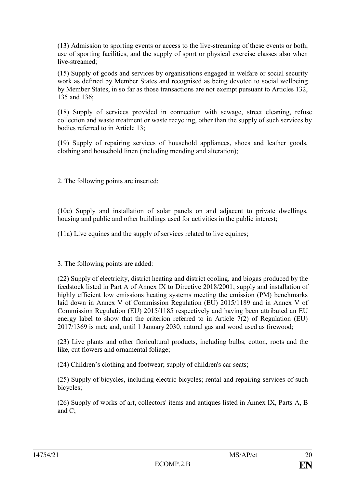(13) Admission to sporting events or access to the live-streaming of these events or both; use of sporting facilities, and the supply of sport or physical exercise classes also when live-streamed<sup>;</sup>

(15) Supply of goods and services by organisations engaged in welfare or social security work as defined by Member States and recognised as being devoted to social wellbeing by Member States, in so far as those transactions are not exempt pursuant to Articles 132, 135 and 136;

(18) Supply of services provided in connection with sewage, street cleaning, refuse collection and waste treatment or waste recycling, other than the supply of such services by bodies referred to in Article 13;

(19) Supply of repairing services of household appliances, shoes and leather goods, clothing and household linen (including mending and alteration);

2. The following points are inserted:

(10c) Supply and installation of solar panels on and adjacent to private dwellings, housing and public and other buildings used for activities in the public interest;

(11a) Live equines and the supply of services related to live equines;

3. The following points are added:

(22) Supply of electricity, district heating and district cooling, and biogas produced by the feedstock listed in Part A of Annex IX to Directive 2018/2001; supply and installation of highly efficient low emissions heating systems meeting the emission (PM) benchmarks laid down in Annex V of Commission Regulation (EU) 2015/1189 and in Annex V of Commission Regulation (EU) 2015/1185 respectively and having been attributed an EU energy label to show that the criterion referred to in Article 7(2) of Regulation (EU) 2017/1369 is met; and, until 1 January 2030, natural gas and wood used as firewood;

(23) Live plants and other floricultural products, including bulbs, cotton, roots and the like, cut flowers and ornamental foliage;

(24) Children's clothing and footwear; supply of children's car seats;

(25) Supply of bicycles, including electric bicycles; rental and repairing services of such bicycles;

(26) Supply of works of art, collectors' items and antiques listed in Annex IX, Parts A, B and C;